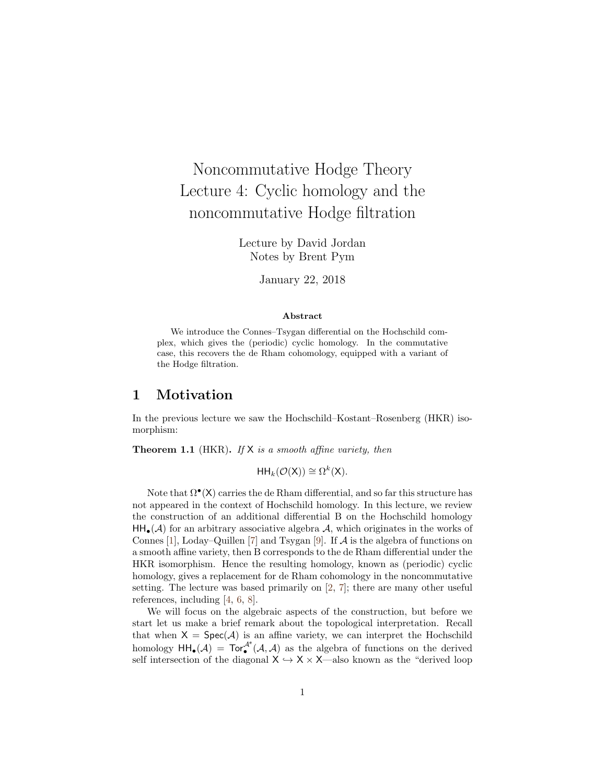# Noncommutative Hodge Theory Lecture 4: Cyclic homology and the noncommutative Hodge filtration

Lecture by David Jordan Notes by Brent Pym

January 22, 2018

#### Abstract

We introduce the Connes–Tsygan differential on the Hochschild complex, which gives the (periodic) cyclic homology. In the commutative case, this recovers the de Rham cohomology, equipped with a variant of the Hodge filtration.

# 1 Motivation

In the previous lecture we saw the Hochschild–Kostant–Rosenberg (HKR) isomorphism:

**Theorem 1.1** (HKR). If  $X$  is a smooth affine variety, then

 $HH_k(\mathcal{O}(X)) \cong \Omega^k(X).$ 

Note that  $\Omega^{\bullet}(\mathsf{X})$  carries the de Rham differential, and so far this structure has not appeared in the context of Hochschild homology. In this lecture, we review the construction of an additional differential B on the Hochschild homology  $HH_{\bullet}(\mathcal{A})$  for an arbitrary associative algebra  $\mathcal{A}$ , which originates in the works of Connes [\[1\]](#page-7-0), Loday–Quillen [\[7\]](#page-7-1) and Tsygan [\[9\]](#page-7-2). If  $A$  is the algebra of functions on a smooth affine variety, then B corresponds to the de Rham differential under the HKR isomorphism. Hence the resulting homology, known as (periodic) cyclic homology, gives a replacement for de Rham cohomology in the noncommutative setting. The lecture was based primarily on [\[2,](#page-7-3) [7\]](#page-7-1); there are many other useful references, including [\[4,](#page-7-4) [6,](#page-7-5) [8\]](#page-7-6).

We will focus on the algebraic aspects of the construction, but before we start let us make a brief remark about the topological interpretation. Recall that when  $X = \text{Spec}(\mathcal{A})$  is an affine variety, we can interpret the Hochschild homology  $HH_{\bullet}(\mathcal{A}) = Tor_{\bullet}^{\mathcal{A}^e}(\mathcal{A}, \mathcal{A})$  as the algebra of functions on the derived self intersection of the diagonal  $X \hookrightarrow X \times X$ —also known as the "derived loop"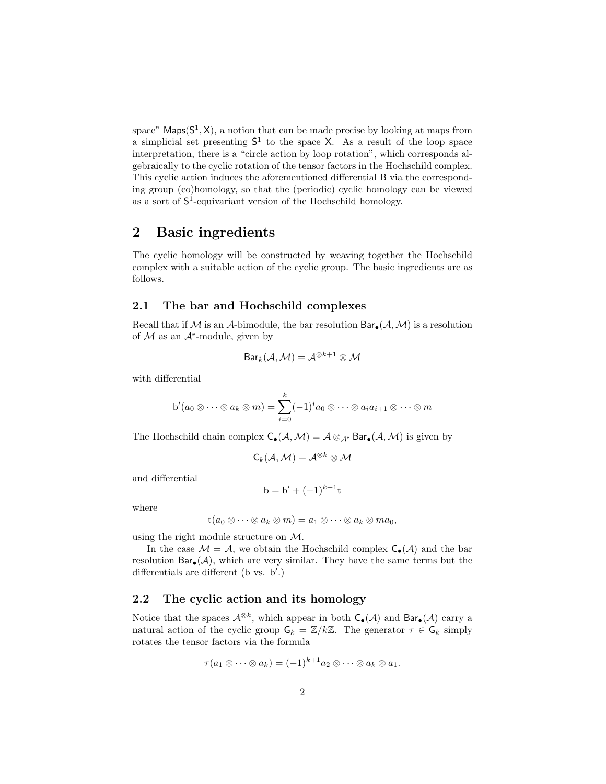space" Maps $(S^1, X)$ , a notion that can be made precise by looking at maps from a simplicial set presenting  $S^1$  to the space X. As a result of the loop space interpretation, there is a "circle action by loop rotation", which corresponds algebraically to the cyclic rotation of the tensor factors in the Hochschild complex. This cyclic action induces the aforementioned differential B via the corresponding group (co)homology, so that the (periodic) cyclic homology can be viewed as a sort of  $S^1$ -equivariant version of the Hochschild homology.

# 2 Basic ingredients

The cyclic homology will be constructed by weaving together the Hochschild complex with a suitable action of the cyclic group. The basic ingredients are as follows.

#### 2.1 The bar and Hochschild complexes

Recall that if M is an A-bimodule, the bar resolution  $Bar_{\bullet}(\mathcal{A}, \mathcal{M})$  is a resolution of  $M$  as an  $\mathcal{A}^e$ -module, given by

$$
\mathsf{Bar}_k(\mathcal{A},\mathcal{M})=\mathcal{A}^{\otimes k+1}\otimes \mathcal{M}
$$

with differential

$$
b'(a_0 \otimes \cdots \otimes a_k \otimes m) = \sum_{i=0}^k (-1)^i a_0 \otimes \cdots \otimes a_i a_{i+1} \otimes \cdots \otimes m
$$

The Hochschild chain complex  $C_{\bullet}(\mathcal{A}, \mathcal{M}) = \mathcal{A} \otimes_{\mathcal{A}^e} \text{Bar}_{\bullet}(\mathcal{A}, \mathcal{M})$  is given by

$$
\mathsf{C}_k(\mathcal{A},\mathcal{M})=\mathcal{A}^{\otimes k}\otimes \mathcal{M}
$$

and differential

$$
b = b' + (-1)^{k+1}t
$$

where

$$
t(a_0\otimes\cdots\otimes a_k\otimes m)=a_1\otimes\cdots\otimes a_k\otimes ma_0,
$$

using the right module structure on M.

In the case  $\mathcal{M} = \mathcal{A}$ , we obtain the Hochschild complex  $C_{\bullet}(\mathcal{A})$  and the bar resolution  $Bar_{\bullet}(\mathcal{A})$ , which are very similar. They have the same terms but the differentials are different ( $b$  vs.  $b'$ .)

## 2.2 The cyclic action and its homology

Notice that the spaces  $\mathcal{A}^{\otimes k}$ , which appear in both  $C_{\bullet}(\mathcal{A})$  and  $Bar_{\bullet}(\mathcal{A})$  carry a natural action of the cyclic group  $\mathsf{G}_k = \mathbb{Z}/k\mathbb{Z}$ . The generator  $\tau \in \mathsf{G}_k$  simply rotates the tensor factors via the formula

$$
\tau(a_1\otimes\cdots\otimes a_k)=(-1)^{k+1}a_2\otimes\cdots\otimes a_k\otimes a_1.
$$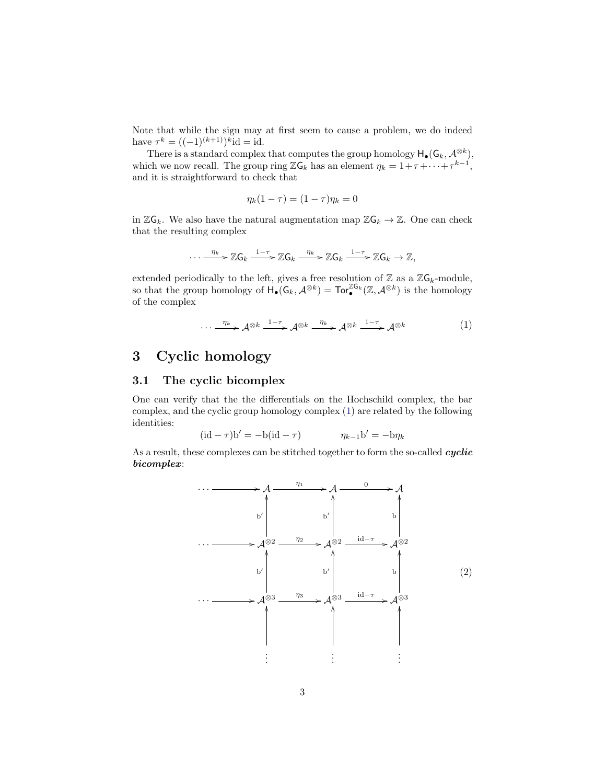Note that while the sign may at first seem to cause a problem, we do indeed have  $\tau^k = ((-1)^{(k+1)})^k$ id = id.

There is a standard complex that computes the group homology  $H_{\bullet}(G_k, \mathcal{A}^{\otimes k}),$ which we now recall. The group ring  $\mathbb{Z}G_k$  has an element  $\eta_k = 1 + \tau + \cdots + \tau^{k-1}$ , and it is straightforward to check that

<span id="page-2-0"></span>
$$
\eta_k(1-\tau)=(1-\tau)\eta_k=0
$$

in  $\mathbb{Z}G_k$ . We also have the natural augmentation map  $\mathbb{Z}G_k \to \mathbb{Z}$ . One can check that the resulting complex

$$
\cdots \xrightarrow{\eta_k} \mathbb{Z} G_k \xrightarrow{1-\tau} \mathbb{Z} G_k \xrightarrow{\eta_k} \mathbb{Z} G_k \xrightarrow{1-\tau} \mathbb{Z} G_k \to \mathbb{Z},
$$

extended periodically to the left, gives a free resolution of  $\mathbb Z$  as a  $\mathbb Z\mathsf{G}_k$ -module, so that the group homology of  $\mathsf{H}_{\bullet}(\mathsf{G}_k, \mathcal{A}^{\otimes k}) = \mathsf{Tor}_{\bullet}^{\mathbb{Z}\mathsf{G}_k}(\mathbb{Z}, \mathcal{A}^{\otimes k})$  is the homology of the complex

$$
\cdots \xrightarrow{\eta_k} \mathcal{A}^{\otimes k} \xrightarrow{1-\tau} \mathcal{A}^{\otimes k} \xrightarrow{\eta_k} \mathcal{A}^{\otimes k} \xrightarrow{1-\tau} \mathcal{A}^{\otimes k} \tag{1}
$$

# 3 Cyclic homology

## 3.1 The cyclic bicomplex

One can verify that the the differentials on the Hochschild complex, the bar complex, and the cyclic group homology complex [\(1\)](#page-2-0) are related by the following identities:

$$
(\mathrm{id} - \tau)\mathrm{b}' = -\mathrm{b}(\mathrm{id} - \tau) \qquad \eta_{k-1}\mathrm{b}' = -\mathrm{b}\eta_k
$$

As a result, these complexes can be stitched together to form the so-called cyclic bicomplex:

<span id="page-2-1"></span>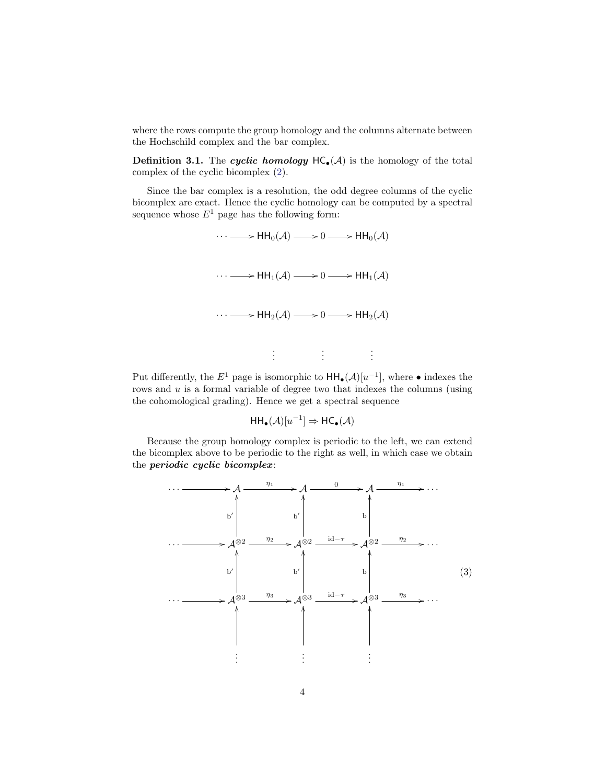where the rows compute the group homology and the columns alternate between the Hochschild complex and the bar complex.

**Definition 3.1.** The cyclic homology  $HC_*(A)$  is the homology of the total complex of the cyclic bicomplex [\(2\)](#page-2-1).

Since the bar complex is a resolution, the odd degree columns of the cyclic bicomplex are exact. Hence the cyclic homology can be computed by a spectral sequence whose  $E^1$  page has the following form:



Put differently, the  $E^1$  page is isomorphic to  $HH_{\bullet}(\mathcal{A})[u^{-1}]$ , where  $\bullet$  indexes the rows and  $u$  is a formal variable of degree two that indexes the columns (using the cohomological grading). Hence we get a spectral sequence

<span id="page-3-0"></span>
$$
\mathsf{HH}_{\bullet}(\mathcal{A})[u^{-1}] \Rightarrow \mathsf{HC}_{\bullet}(\mathcal{A})
$$

Because the group homology complex is periodic to the left, we can extend the bicomplex above to be periodic to the right as well, in which case we obtain the periodic cyclic bicomplex:

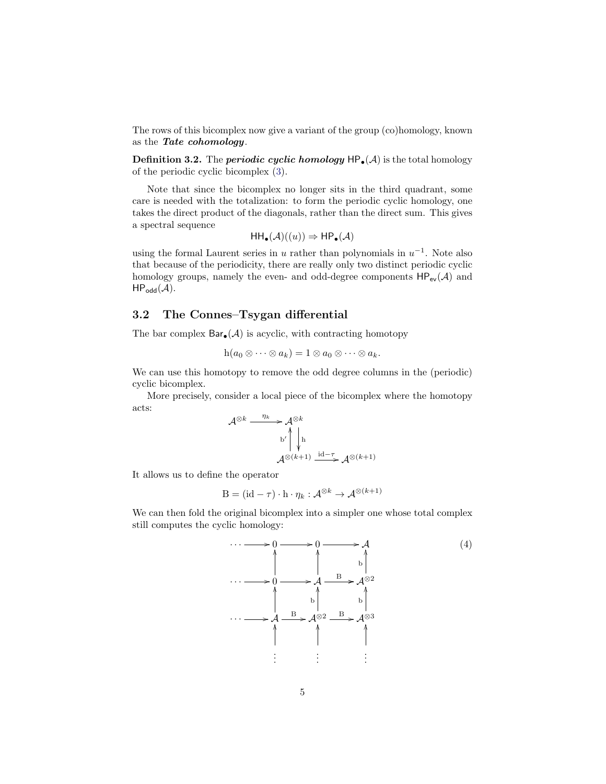The rows of this bicomplex now give a variant of the group (co)homology, known as the Tate cohomology.

**Definition 3.2.** The *periodic cyclic homology*  $HP_{\bullet}(\mathcal{A})$  is the total homology of the periodic cyclic bicomplex [\(3\)](#page-3-0).

Note that since the bicomplex no longer sits in the third quadrant, some care is needed with the totalization: to form the periodic cyclic homology, one takes the direct product of the diagonals, rather than the direct sum. This gives a spectral sequence

$$
\mathsf{HH}_{\bullet}(\mathcal{A})((u)) \Rightarrow \mathsf{HP}_{\bullet}(\mathcal{A})
$$

using the formal Laurent series in u rather than polynomials in  $u^{-1}$ . Note also that because of the periodicity, there are really only two distinct periodic cyclic homology groups, namely the even- and odd-degree components  $HP_{ev}(\mathcal{A})$  and  $HP_{odd}(\mathcal{A}).$ 

#### 3.2 The Connes–Tsygan differential

The bar complex  $Bar_{\bullet}(\mathcal{A})$  is acyclic, with contracting homotopy

$$
h(a_0\otimes\cdots\otimes a_k)=1\otimes a_0\otimes\cdots\otimes a_k.
$$

We can use this homotopy to remove the odd degree columns in the (periodic) cyclic bicomplex.

More precisely, consider a local piece of the bicomplex where the homotopy acts:

$$
\mathcal{A}^{\otimes k} \xrightarrow{\eta_k} \mathcal{A}^{\otimes k} \\
\downarrow^{\text{b'}} \qquad \qquad \downarrow^{\text{b'}} \\
\mathcal{A}^{\otimes (k+1)} \xrightarrow{\text{id}-\tau} \mathcal{A}^{\otimes (k+1)}
$$

It allows us to define the operator

<span id="page-4-0"></span>
$$
\mathbf{B} = (\mathrm{id} - \tau) \cdot \mathbf{h} \cdot \eta_k : \mathcal{A}^{\otimes k} \to \mathcal{A}^{\otimes (k+1)}
$$

We can then fold the original bicomplex into a simpler one whose total complex still computes the cyclic homology:

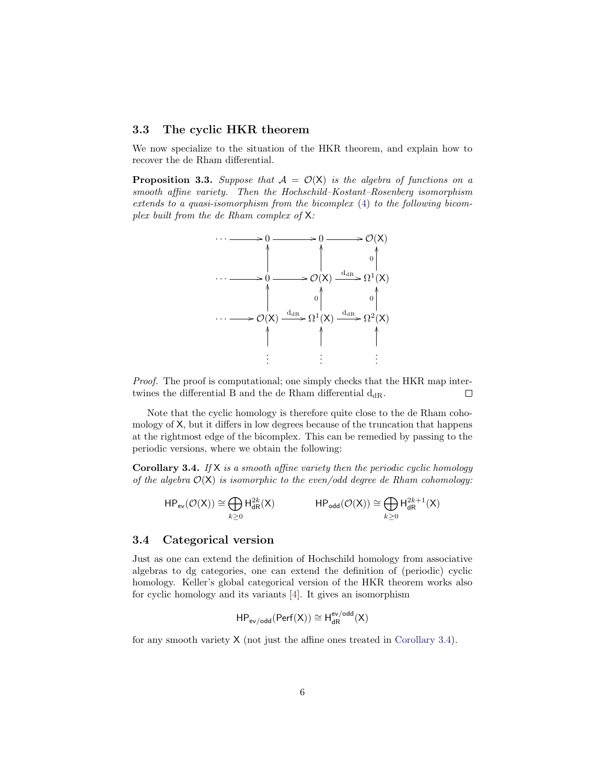#### 3.3 The cyclic HKR theorem

We now specialize to the situation of the HKR theorem, and explain how to recover the de Rham differential.

**Proposition 3.3.** Suppose that  $A = \mathcal{O}(X)$  is the algebra of functions on a smooth affine variety. Then the Hochschild–Kostant–Rosenberg isomorphism extends to a quasi-isomorphism from the bicomplex [\(4\)](#page-4-0) to the following bicomplex built from the de Rham complex of X:



Proof. The proof is computational; one simply checks that the HKR map intertwines the differential B and the de Rham differential  $d_{\rm dR}$ .  $\Box$ 

Note that the cyclic homology is therefore quite close to the de Rham cohomology of X, but it differs in low degrees because of the truncation that happens at the rightmost edge of the bicomplex. This can be remedied by passing to the periodic versions, where we obtain the following:

<span id="page-5-0"></span>**Corollary 3.4.** If  $X$  is a smooth affine variety then the periodic cyclic homology of the algebra  $\mathcal{O}(X)$  is isomorphic to the even/odd degree de Rham cohomology:

$$
\mathsf{HP}_{\mathsf{ev}}(\mathcal{O}(\mathsf{X})) \cong \bigoplus_{k \geq 0} \mathsf{H}^{2k}_{\mathsf{dR}}(\mathsf{X}) \qquad \qquad \mathsf{HP}_{\mathsf{odd}}(\mathcal{O}(\mathsf{X})) \cong \bigoplus_{k \geq 0} \mathsf{H}^{2k+1}_{\mathsf{dR}}(\mathsf{X})
$$

#### 3.4 Categorical version

Just as one can extend the definition of Hochschild homology from associative algebras to dg categories, one can extend the definition of (periodic) cyclic homology. Keller's global categorical version of the HKR theorem works also for cyclic homology and its variants [\[4\]](#page-7-4). It gives an isomorphism

$$
HP_{\mathsf{ev}/\mathsf{odd}}(\mathsf{Perf}(X)) \cong H^{\mathsf{ev}/\mathsf{odd}}_{\mathsf{dR}}(X)
$$

for any smooth variety  $X$  (not just the affine ones treated in [Corollary 3.4\)](#page-5-0).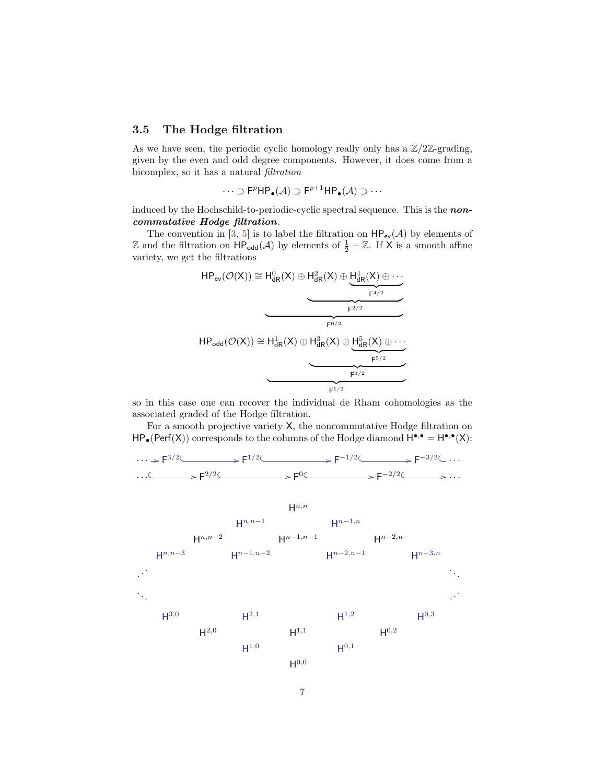### 3.5 The Hodge filtration

As we have seen, the periodic cyclic homology really only has a  $\mathbb{Z}/2\mathbb{Z}$ -grading, given by the even and odd degree components. However, it does come from a bicomplex, so it has a natural filtration

$$
\cdots \supset F^p \mathsf{HP}_{\bullet}(\mathcal{A}) \supset F^{p+1} \mathsf{HP}_{\bullet}(\mathcal{A}) \supset \cdots
$$

induced by the Hochschild-to-periodic-cyclic spectral sequence. This is the **non**commutative Hodge filtration.

The convention in [\[3,](#page-7-7) [5\]](#page-7-8) is to label the filtration on  $HP_{ev}(\mathcal{A})$  by elements of Z and the filtration on  $HP_{odd}(\mathcal{A})$  by elements of  $\frac{1}{2} + \mathbb{Z}$ . If X is a smooth affine variety, we get the filtrations

$$
HP_{ev}(\mathcal{O}(X)) \cong H_{dR}^{0}(X) \oplus H_{dR}^{2}(X) \oplus \underbrace{H_{dR}^{4}(X) \oplus \cdots}_{F^{4/2}}
$$
\n
$$
HP_{odd}(\mathcal{O}(X)) \cong H_{dR}^{1}(X) \oplus H_{dR}^{3}(X) \oplus \underbrace{H_{dR}^{5}(X) \oplus \cdots}_{F^{5/2}}
$$
\n
$$
= \underbrace{H_{dR}^{1}(X) \oplus H_{dR}^{3}(X) \oplus \cdots}_{F^{5/2}}
$$

so in this case one can recover the individual de Rham cohomologies as the associated graded of the Hodge filtration.

For a smooth projective variety X, the noncommutative Hodge filtration on  $HP_{\bullet}(Perf(X))$  corresponds to the columns of the Hodge diamond  $H^{\bullet,\bullet} = H^{\bullet,\bullet}(X)$ :